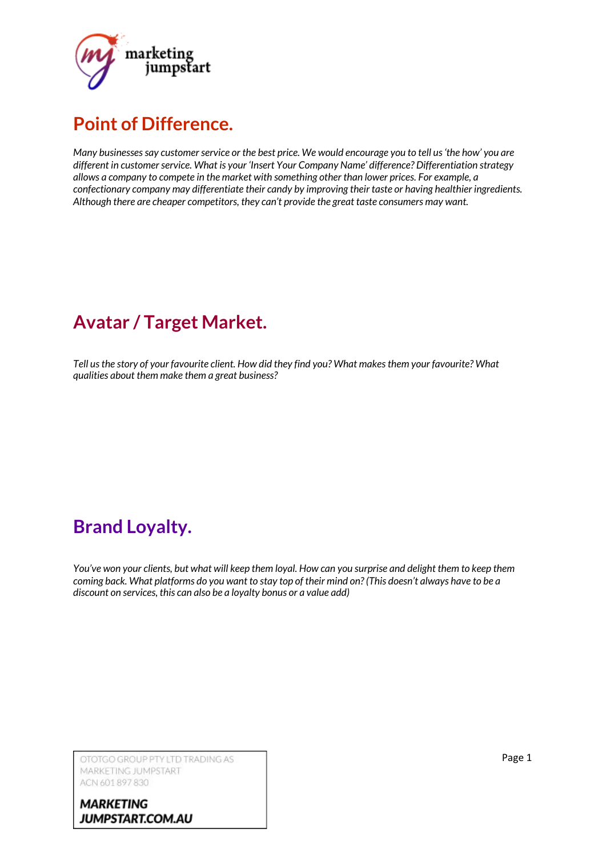

### **Point of Difference.**

*Many businessessay customerservice or the best price. We would encourage you to tell us'the how' you are different in customerservice. What is your 'Insert Your Company Name' difference? Differentiation strategy allows a company to compete in the market with something other than lower prices. For example, a confectionary company may differentiate their candy by improving their taste or having healthier ingredients. Although there are cheaper competitors, they can't provide the great taste consumers may want.*

# **Avatar / Target Market.**

*Tell usthe story of your favourite client. How did they find you? What makesthem your favourite? What qualities about them make them a great business?*

## **Brand Loyalty.**

You've won your clients, but what will keep them loyal. How can you surprise and delight them to keep them coming back. What platforms do you want to stay top of their mind on? (This doesn't always have to be a *discount on services, this can also be a loyalty bonus or a value add)*

OTOTGO GROUP PTY LTD TRADING AS MARKETING JUMPSTART ACN 601 897 830

**MARKETING** JUMPSTART.COM.AU Page 1